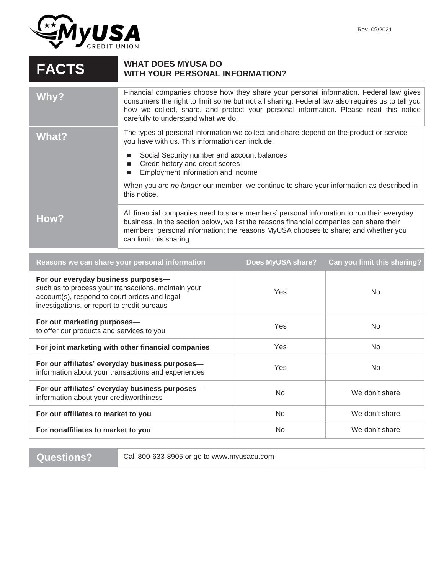

## **FACTS** WHAT DOES MYUSA DO **WITH YOUR PERSONAL INFORMATION?**

| Why?  | Financial companies choose how they share your personal information. Federal law gives<br>consumers the right to limit some but not all sharing. Federal law also requires us to tell you<br>how we collect, share, and protect your personal information. Please read this notice<br>carefully to understand what we do. |  |
|-------|---------------------------------------------------------------------------------------------------------------------------------------------------------------------------------------------------------------------------------------------------------------------------------------------------------------------------|--|
| What? | The types of personal information we collect and share depend on the product or service<br>you have with us. This information can include:                                                                                                                                                                                |  |
|       | Social Security number and account balances<br>Credit history and credit scores<br>Employment information and income<br>П                                                                                                                                                                                                 |  |
|       | When you are no longer our member, we continue to share your information as described in<br>this notice.                                                                                                                                                                                                                  |  |
| How?  | All financial companies need to share members' personal information to run their everyday<br>business. In the section below, we list the reasons financial companies can share their<br>members' personal information; the reasons MyUSA chooses to share; and whether you<br>can limit this sharing.                     |  |

| Reasons we can share your personal information                                                                                                                                             | Does MyUSA share? | Can you limit this sharing? |
|--------------------------------------------------------------------------------------------------------------------------------------------------------------------------------------------|-------------------|-----------------------------|
| For our everyday business purposes-<br>such as to process your transactions, maintain your<br>account(s), respond to court orders and legal<br>investigations, or report to credit bureaus | <b>Yes</b>        | No.                         |
| For our marketing purposes-<br>to offer our products and services to you                                                                                                                   | Yes               | No.                         |
| For joint marketing with other financial companies                                                                                                                                         | <b>Yes</b>        | No.                         |
| For our affiliates' everyday business purposes-<br>information about your transactions and experiences                                                                                     | Yes               | No.                         |
| For our affiliates' everyday business purposes-<br>information about your creditworthiness                                                                                                 | <b>No</b>         | We don't share              |
| For our affiliates to market to you                                                                                                                                                        | No.               | We don't share              |
| For nonaffiliates to market to you                                                                                                                                                         | No.               | We don't share              |
|                                                                                                                                                                                            |                   |                             |

**Questions?** Call 800-633-8905 or go to www.myusacu.com